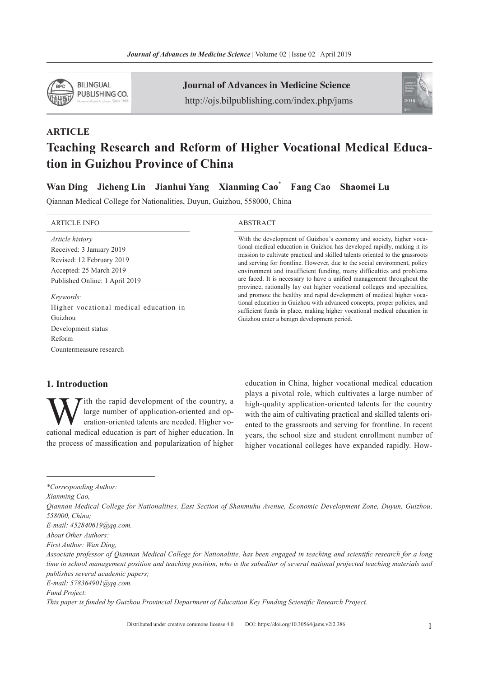

**ARTICLE** 

Journal of Advances in Medicine Science http://ojs.bilpublishing.com/index.php/jams



# Teaching Research and Reform of Higher Vocational Medical Education in Guizhou Province of China

Wan Ding Jicheng Lin Jianhui Yang Xianming Cao\* Fang Cao Shaomei Lu

Qiannan Medical College for Nationalities, Duyun, Guizhou, 558000, China

| <b>ARTICLE INFO</b>                                                                                                                   | <b>ABSTRACT</b>                                                                                                                                                                                                                                                                                                                                                                                                                                                                                                                                                                                                                                                                                                                                                                                                            |
|---------------------------------------------------------------------------------------------------------------------------------------|----------------------------------------------------------------------------------------------------------------------------------------------------------------------------------------------------------------------------------------------------------------------------------------------------------------------------------------------------------------------------------------------------------------------------------------------------------------------------------------------------------------------------------------------------------------------------------------------------------------------------------------------------------------------------------------------------------------------------------------------------------------------------------------------------------------------------|
| Article history<br>Received: 3 January 2019<br>Revised: 12 February 2019<br>Accepted: 25 March 2019<br>Published Online: 1 April 2019 | With the development of Guizhou's economy and society, higher voca-<br>tional medical education in Guizhou has developed rapidly, making it its<br>mission to cultivate practical and skilled talents oriented to the grassroots<br>and serving for frontline. However, due to the social environment, policy<br>environment and insufficient funding, many difficulties and problems<br>are faced. It is necessary to have a unified management throughout the<br>province, rationally lay out higher vocational colleges and specialties,<br>and promote the healthy and rapid development of medical higher voca-<br>tional education in Guizhou with advanced concepts, proper policies, and<br>sufficient funds in place, making higher vocational medical education in<br>Guizhou enter a benign development period. |
| Keywords:<br>Higher vocational medical education in<br>Guizhou<br>Development status<br>Reform<br>Countermeasure research             |                                                                                                                                                                                                                                                                                                                                                                                                                                                                                                                                                                                                                                                                                                                                                                                                                            |

## 1. Introduction

**W** large number of application-oriented and operation-oriented talents are needed. Higher vocational medical education is part of higher education. In large number of application-oriented and operation-oriented talents are needed. Higher vothe process of massification and popularization of higher

education in China, higher vocational medical education plays a pivotal role, which cultivates a large number of high-quality application-oriented talents for the country with the aim of cultivating practical and skilled talents oriented to the grassroots and serving for frontline. In recent years, the school size and student enrollment number of higher vocational colleges have expanded rapidly. How-

Xianming Cao,

E-mail: 452840619@qq.com.

E-mail: 578364901@qq.com.

<sup>\*</sup>Corresponding Author:

Qiannan Medical College for Nationalities, East Section of Shanmuhu Avenue, Economic Development Zone, Duyun, Guizhou, 558000, China;

About Other Authors:

First Author: Wan Ding,

Associate professor of Qiannan Medical College for Nationalitie, has been engaged in teaching and scientific research for a long time in school management position and teaching position, who is the subeditor of several national projected teaching materials and publishes several academic papers;

Fund Project:

This paper is funded by Guizhou Provincial Department of Education Key Funding Scientific Research Project.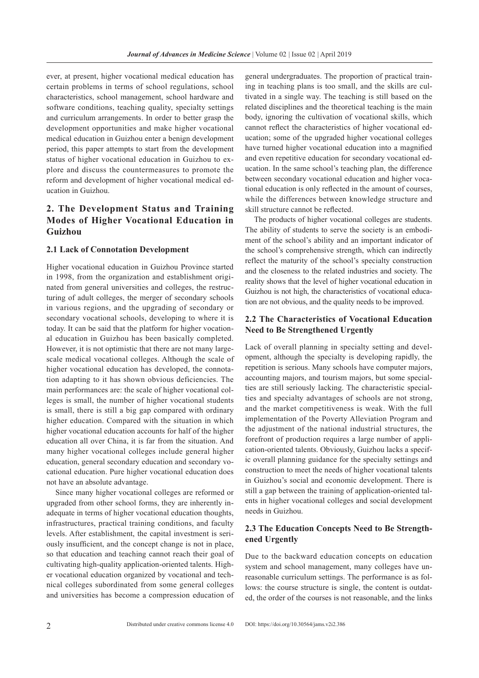ever, at present, higher vocational medical education has certain problems in terms of school regulations, school characteristics, school management, school hardware and software conditions, teaching quality, specialty settings and curriculum arrangements. In order to better grasp the development opportunities and make higher vocational medical education in Guizhou enter a benign development period, this paper attempts to start from the development status of higher vocational education in Guizhou to explore and discuss the countermeasures to promote the reform and development of higher vocational medical education in Guizhou.

# 2. The Development Status and Training Modes of Higher Vocational Education in Guizhou

#### 2.1 Lack of Connotation Development

Higher vocational education in Guizhou Province started in 1998, from the organization and establishment originated from general universities and colleges, the restructuring of adult colleges, the merger of secondary schools in various regions, and the upgrading of secondary or secondary vocational schools, developing to where it is today. It can be said that the platform for higher vocational education in Guizhou has been basically completed. However, it is not optimistic that there are not many largescale medical vocational colleges. Although the scale of higher vocational education has developed, the connotation adapting to it has shown obvious deficiencies. The main performances are: the scale of higher vocational colleges is small, the number of higher vocational students is small, there is still a big gap compared with ordinary higher education. Compared with the situation in which higher vocational education accounts for half of the higher education all over China, it is far from the situation. And many higher vocational colleges include general higher education, general secondary education and secondary vocational education. Pure higher vocational education does not have an absolute advantage.

Since many higher vocational colleges are reformed or upgraded from other school forms, they are inherently inadequate in terms of higher vocational education thoughts, infrastructures, practical training conditions, and faculty levels. After establishment, the capital investment is seriously insufficient, and the concept change is not in place, so that education and teaching cannot reach their goal of cultivating high-quality application-oriented talents. Higher vocational education organized by vocational and technical colleges subordinated from some general colleges and universities has become a compression education of

general undergraduates. The proportion of practical training in teaching plans is too small, and the skills are cultivated in a single way. The teaching is still based on the related disciplines and the theoretical teaching is the main body, ignoring the cultivation of vocational skills, which cannot reflect the characteristics of higher vocational education; some of the upgraded higher vocational colleges have turned higher vocational education into a magnified and even repetitive education for secondary vocational education. In the same school's teaching plan, the difference between secondary vocational education and higher vocational education is only reflected in the amount of courses, while the differences between knowledge structure and skill structure cannot be reflected.

The products of higher vocational colleges are students. The ability of students to serve the society is an embodiment of the school's ability and an important indicator of the school's comprehensive strength, which can indirectly reflect the maturity of the school's specialty construction and the closeness to the related industries and society. The reality shows that the level of higher vocational education in Guizhou is not high, the characteristics of vocational education are not obvious, and the quality needs to be improved.

#### 2.2 The Characteristics of Vocational Education Need to Be Strengthened Urgently

Lack of overall planning in specialty setting and development, although the specialty is developing rapidly, the repetition is serious. Many schools have computer majors, accounting majors, and tourism majors, but some specialties are still seriously lacking. The characteristic specialties and specialty advantages of schools are not strong, and the market competitiveness is weak. With the full implementation of the Poverty Alleviation Program and the adjustment of the national industrial structures, the forefront of production requires a large number of application-oriented talents. Obviously, Guizhou lacks a specific overall planning guidance for the specialty settings and construction to meet the needs of higher vocational talents in Guizhou's social and economic development. There is still a gap between the training of application-oriented talents in higher vocational colleges and social development needs in Guizhou.

## 2.3 The Education Concepts Need to Be Strengthened Urgently

Due to the backward education concepts on education system and school management, many colleges have unreasonable curriculum settings. The performance is as follows: the course structure is single, the content is outdated, the order of the courses is not reasonable, and the links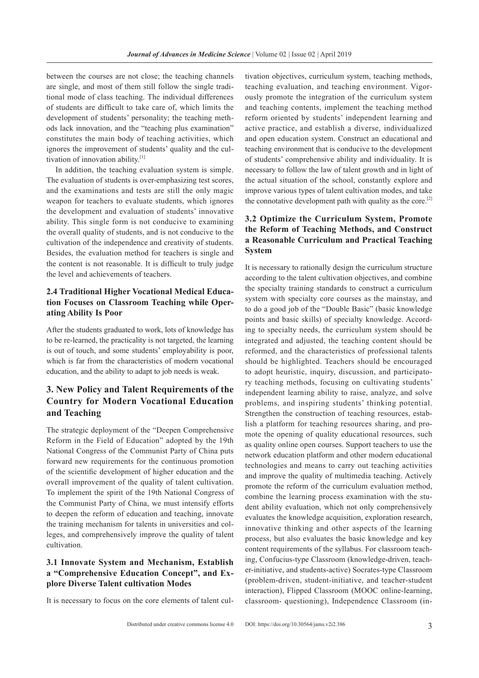between the courses are not close; the teaching channels are single, and most of them still follow the single traditional mode of class teaching. The individual differences of students are difficult to take care of, which limits the development of students' personality; the teaching methods lack innovation, and the "teaching plus examination" constitutes the main body of teaching activities, which ignores the improvement of students' quality and the cultivation of innovation ability.[1]

In addition, the teaching evaluation system is simple. The evaluation of students is over-emphasizing test scores, and the examinations and tests are still the only magic weapon for teachers to evaluate students, which ignores the development and evaluation of students' innovative ability. This single form is not conducive to examining the overall quality of students, and is not conducive to the cultivation of the independence and creativity of students. Besides, the evaluation method for teachers is single and the content is not reasonable. It is difficult to truly judge the level and achievements of teachers.

## 2.4 Traditional Higher Vocational Medical Education Focuses on Classroom Teaching while Operating Ability Is Poor

After the students graduated to work, lots of knowledge has to be re-learned, the practicality is not targeted, the learning is out of touch, and some students' employability is poor, which is far from the characteristics of modern vocational education, and the ability to adapt to job needs is weak.

# 3. New Policy and Talent Requirements of the Country for Modern Vocational Education and Teaching

The strategic deployment of the "Deepen Comprehensive Reform in the Field of Education" adopted by the 19th National Congress of the Communist Party of China puts forward new requirements for the continuous promotion of the scientific development of higher education and the overall improvement of the quality of talent cultivation. To implement the spirit of the 19th National Congress of the Communist Party of China, we must intensify efforts to deepen the reform of education and teaching, innovate the training mechanism for talents in universities and colleges, and comprehensively improve the quality of talent cultivation.

## 3.1 Innovate System and Mechanism, Establish a "Comprehensive Education Concept", and Explore Diverse Talent cultivation Modes

It is necessary to focus on the core elements of talent cul-

tivation objectives, curriculum system, teaching methods, teaching evaluation, and teaching environment. Vigorously promote the integration of the curriculum system and teaching contents, implement the teaching method reform oriented by students' independent learning and active practice, and establish a diverse, individualized and open education system. Construct an educational and teaching environment that is conducive to the development of students' comprehensive ability and individuality. It is necessary to follow the law of talent growth and in light of the actual situation of the school, constantly explore and improve various types of talent cultivation modes, and take the connotative development path with quality as the core.<sup>[2]</sup>

## 3.2 Optimize the Curriculum System, Promote the Reform of Teaching Methods, and Construct a Reasonable Curriculum and Practical Teaching System

It is necessary to rationally design the curriculum structure according to the talent cultivation objectives, and combine the specialty training standards to construct a curriculum system with specialty core courses as the mainstay, and to do a good job of the "Double Basic" (basic knowledge points and basic skills) of specialty knowledge. According to specialty needs, the curriculum system should be integrated and adjusted, the teaching content should be reformed, and the characteristics of professional talents should be highlighted. Teachers should be encouraged to adopt heuristic, inquiry, discussion, and participatory teaching methods, focusing on cultivating students' independent learning ability to raise, analyze, and solve problems, and inspiring students' thinking potential. Strengthen the construction of teaching resources, establish a platform for teaching resources sharing, and promote the opening of quality educational resources, such as quality online open courses. Support teachers to use the network education platform and other modern educational technologies and means to carry out teaching activities and improve the quality of multimedia teaching. Actively promote the reform of the curriculum evaluation method, combine the learning process examination with the student ability evaluation, which not only comprehensively evaluates the knowledge acquisition, exploration research, innovative thinking and other aspects of the learning process, but also evaluates the basic knowledge and key content requirements of the syllabus. For classroom teaching, Confucius-type Classroom (knowledge-driven, teacher-initiative, and students-active) Socrates-type Classroom (problem-driven, student-initiative, and teacher-student interaction), Flipped Classroom (MOOC online-learning, classroom- questioning), Independence Classroom (in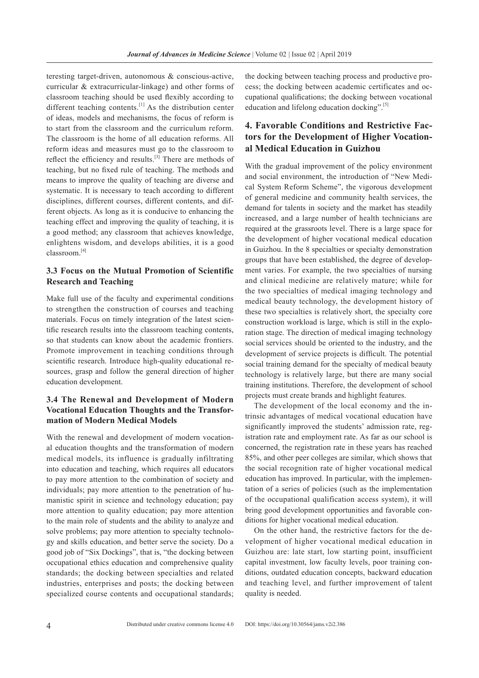teresting target-driven, autonomous & conscious-active, curricular & extracurricular-linkage) and other forms of classroom teaching should be used flexibly according to different teaching contents.<sup>[1]</sup> As the distribution center of ideas, models and mechanisms, the focus of reform is to start from the classroom and the curriculum reform. The classroom is the home of all education reforms. All reform ideas and measures must go to the classroom to reflect the efficiency and results.<sup>[3]</sup> There are methods of teaching, but no fixed rule of teaching. The methods and means to improve the quality of teaching are diverse and systematic. It is necessary to teach according to different disciplines, different courses, different contents, and different objects. As long as it is conducive to enhancing the teaching effect and improving the quality of teaching, it is a good method; any classroom that achieves knowledge, enlightens wisdom, and develops abilities, it is a good classroom.[4]

## 3.3 Focus on the Mutual Promotion of Scientific Research and Teaching

Make full use of the faculty and experimental conditions to strengthen the construction of courses and teaching materials. Focus on timely integration of the latest scientific research results into the classroom teaching contents, so that students can know about the academic frontiers. Promote improvement in teaching conditions through scientific research. Introduce high-quality educational resources, grasp and follow the general direction of higher education development.

## 3.4 The Renewal and Development of Modern Vocational Education Thoughts and the Transformation of Modern Medical Models

With the renewal and development of modern vocational education thoughts and the transformation of modern medical models, its influence is gradually infiltrating into education and teaching, which requires all educators to pay more attention to the combination of society and individuals; pay more attention to the penetration of humanistic spirit in science and technology education; pay more attention to quality education; pay more attention to the main role of students and the ability to analyze and solve problems; pay more attention to specialty technology and skills education, and better serve the society. Do a good job of "Six Dockings", that is, "the docking between occupational ethics education and comprehensive quality standards; the docking between specialties and related industries, enterprises and posts; the docking between specialized course contents and occupational standards;

the docking between teaching process and productive process; the docking between academic certificates and occupational qualifications; the docking between vocational education and lifelong education docking".<sup>[5]</sup>

## 4. Favorable Conditions and Restrictive Factors for the Development of Higher Vocational Medical Education in Guizhou

With the gradual improvement of the policy environment and social environment, the introduction of "New Medical System Reform Scheme", the vigorous development of general medicine and community health services, the demand for talents in society and the market has steadily increased, and a large number of health technicians are required at the grassroots level. There is a large space for the development of higher vocational medical education in Guizhou. In the 8 specialties or specialty demonstration groups that have been established, the degree of development varies. For example, the two specialties of nursing and clinical medicine are relatively mature; while for the two specialties of medical imaging technology and medical beauty technology, the development history of these two specialties is relatively short, the specialty core construction workload is large, which is still in the exploration stage. The direction of medical imaging technology social services should be oriented to the industry, and the development of service projects is difficult. The potential social training demand for the specialty of medical beauty technology is relatively large, but there are many social training institutions. Therefore, the development of school projects must create brands and highlight features.

The development of the local economy and the intrinsic advantages of medical vocational education have significantly improved the students' admission rate, registration rate and employment rate. As far as our school is concerned, the registration rate in these years has reached 85%, and other peer colleges are similar, which shows that the social recognition rate of higher vocational medical education has improved. In particular, with the implementation of a series of policies (such as the implementation of the occupational qualification access system), it will bring good development opportunities and favorable conditions for higher vocational medical education.

On the other hand, the restrictive factors for the development of higher vocational medical education in Guizhou are: late start, low starting point, insufficient capital investment, low faculty levels, poor training conditions, outdated education concepts, backward education and teaching level, and further improvement of talent quality is needed.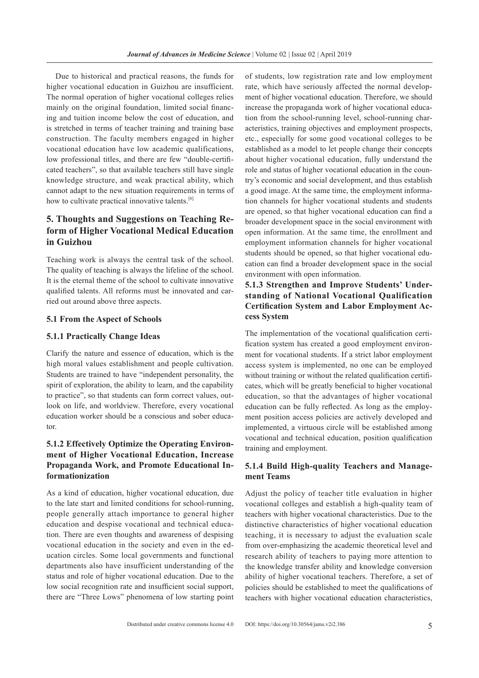Due to historical and practical reasons, the funds for higher vocational education in Guizhou are insufficient. The normal operation of higher vocational colleges relies mainly on the original foundation, limited social financing and tuition income below the cost of education, and is stretched in terms of teacher training and training base construction. The faculty members engaged in higher vocational education have low academic qualifications, low professional titles, and there are few "double-certificated teachers", so that available teachers still have single knowledge structure, and weak practical ability, which cannot adapt to the new situation requirements in terms of how to cultivate practical innovative talents.<sup>[6]</sup>

# 5. Thoughts and Suggestions on Teaching Reform of Higher Vocational Medical Education in Guizhou

Teaching work is always the central task of the school. The quality of teaching is always the lifeline of the school. It is the eternal theme of the school to cultivate innovative qualified talents. All reforms must be innovated and carried out around above three aspects.

#### 5.1 From the Aspect of Schools

#### 5.1.1 Practically Change Ideas

Clarify the nature and essence of education, which is the high moral values establishment and people cultivation. Students are trained to have "independent personality, the spirit of exploration, the ability to learn, and the capability to practice", so that students can form correct values, outlook on life, and worldview. Therefore, every vocational education worker should be a conscious and sober educator.

## 5.1.2 Effectively Optimize the Operating Environment of Higher Vocational Education, Increase Propaganda Work, and Promote Educational Informationization

As a kind of education, higher vocational education, due to the late start and limited conditions for school-running, people generally attach importance to general higher education and despise vocational and technical education. There are even thoughts and awareness of despising vocational education in the society and even in the education circles. Some local governments and functional departments also have insufficient understanding of the status and role of higher vocational education. Due to the low social recognition rate and insufficient social support, there are "Three Lows" phenomena of low starting point of students, low registration rate and low employment rate, which have seriously affected the normal development of higher vocational education. Therefore, we should increase the propaganda work of higher vocational education from the school-running level, school-running characteristics, training objectives and employment prospects, etc., especially for some good vocational colleges to be established as a model to let people change their concepts about higher vocational education, fully understand the role and status of higher vocational education in the country's economic and social development, and thus establish a good image. At the same time, the employment information channels for higher vocational students and students are opened, so that higher vocational education can find a broader development space in the social environment with open information. At the same time, the enrollment and employment information channels for higher vocational students should be opened, so that higher vocational education can find a broader development space in the social environment with open information.

## 5.1.3 Strengthen and Improve Students' Understanding of National Vocational Qualification Certifcation System and Labor Employment Access System

The implementation of the vocational qualification certification system has created a good employment environment for vocational students. If a strict labor employment access system is implemented, no one can be employed without training or without the related qualification certificates, which will be greatly beneficial to higher vocational education, so that the advantages of higher vocational education can be fully reflected. As long as the employment position access policies are actively developed and implemented, a virtuous circle will be established among vocational and technical education, position qualification training and employment.

## 5.1.4 Build High-quality Teachers and Management Teams

Adjust the policy of teacher title evaluation in higher vocational colleges and establish a high-quality team of teachers with higher vocational characteristics. Due to the distinctive characteristics of higher vocational education teaching, it is necessary to adjust the evaluation scale from over-emphasizing the academic theoretical level and research ability of teachers to paying more attention to the knowledge transfer ability and knowledge conversion ability of higher vocational teachers. Therefore, a set of policies should be established to meet the qualifications of teachers with higher vocational education characteristics,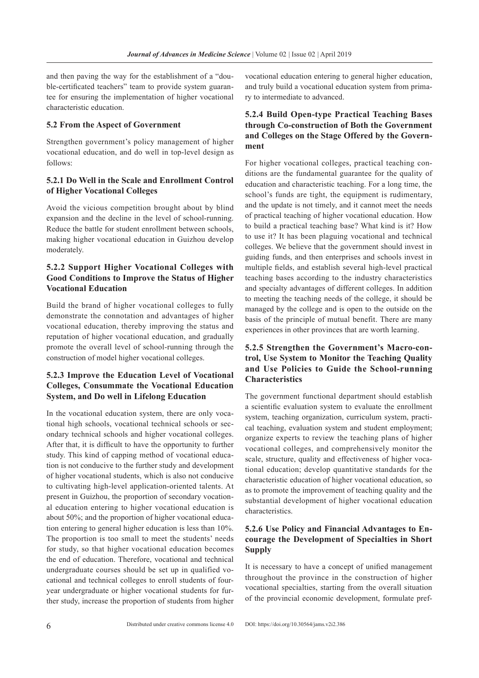and then paving the way for the establishment of a "double-certificated teachers" team to provide system guarantee for ensuring the implementation of higher vocational characteristic education.

#### 5.2 From the Aspect of Government

Strengthen government's policy management of higher vocational education, and do well in top-level design as follows:

### 5.2.1 Do Well in the Scale and Enrollment Control of Higher Vocational Colleges

Avoid the vicious competition brought about by blind expansion and the decline in the level of school-running. Reduce the battle for student enrollment between schools, making higher vocational education in Guizhou develop moderately.

## 5.2.2 Support Higher Vocational Colleges with Good Conditions to Improve the Status of Higher Vocational Education

Build the brand of higher vocational colleges to fully demonstrate the connotation and advantages of higher vocational education, thereby improving the status and reputation of higher vocational education, and gradually promote the overall level of school-running through the construction of model higher vocational colleges.

## 5.2.3 Improve the Education Level of Vocational Colleges, Consummate the Vocational Education System, and Do well in Lifelong Education

In the vocational education system, there are only vocational high schools, vocational technical schools or secondary technical schools and higher vocational colleges. After that, it is difficult to have the opportunity to further study. This kind of capping method of vocational education is not conducive to the further study and development of higher vocational students, which is also not conducive to cultivating high-level application-oriented talents. At present in Guizhou, the proportion of secondary vocational education entering to higher vocational education is about 50%; and the proportion of higher vocational education entering to general higher education is less than 10%. The proportion is too small to meet the students' needs for study, so that higher vocational education becomes the end of education. Therefore, vocational and technical undergraduate courses should be set up in qualified vocational and technical colleges to enroll students of fouryear undergraduate or higher vocational students for further study, increase the proportion of students from higher vocational education entering to general higher education, and truly build a vocational education system from primary to intermediate to advanced.

## 5.2.4 Build Open-type Practical Teaching Bases through Co-construction of Both the Government and Colleges on the Stage Offered by the Government

For higher vocational colleges, practical teaching conditions are the fundamental guarantee for the quality of education and characteristic teaching. For a long time, the school's funds are tight, the equipment is rudimentary, and the update is not timely, and it cannot meet the needs of practical teaching of higher vocational education. How to build a practical teaching base? What kind is it? How to use it? It has been plaguing vocational and technical colleges. We believe that the government should invest in guiding funds, and then enterprises and schools invest in multiple fields, and establish several high-level practical teaching bases according to the industry characteristics and specialty advantages of different colleges. In addition to meeting the teaching needs of the college, it should be managed by the college and is open to the outside on the basis of the principle of mutual benefit. There are many experiences in other provinces that are worth learning.

## 5.2.5 Strengthen the Government's Macro-control, Use System to Monitor the Teaching Quality and Use Policies to Guide the School-running Characteristics

The government functional department should establish a scientific evaluation system to evaluate the enrollment system, teaching organization, curriculum system, practical teaching, evaluation system and student employment; organize experts to review the teaching plans of higher vocational colleges, and comprehensively monitor the scale, structure, quality and effectiveness of higher vocational education; develop quantitative standards for the characteristic education of higher vocational education, so as to promote the improvement of teaching quality and the substantial development of higher vocational education characteristics.

## 5.2.6 Use Policy and Financial Advantages to Encourage the Development of Specialties in Short Supply

It is necessary to have a concept of unified management throughout the province in the construction of higher vocational specialties, starting from the overall situation of the provincial economic development, formulate pref